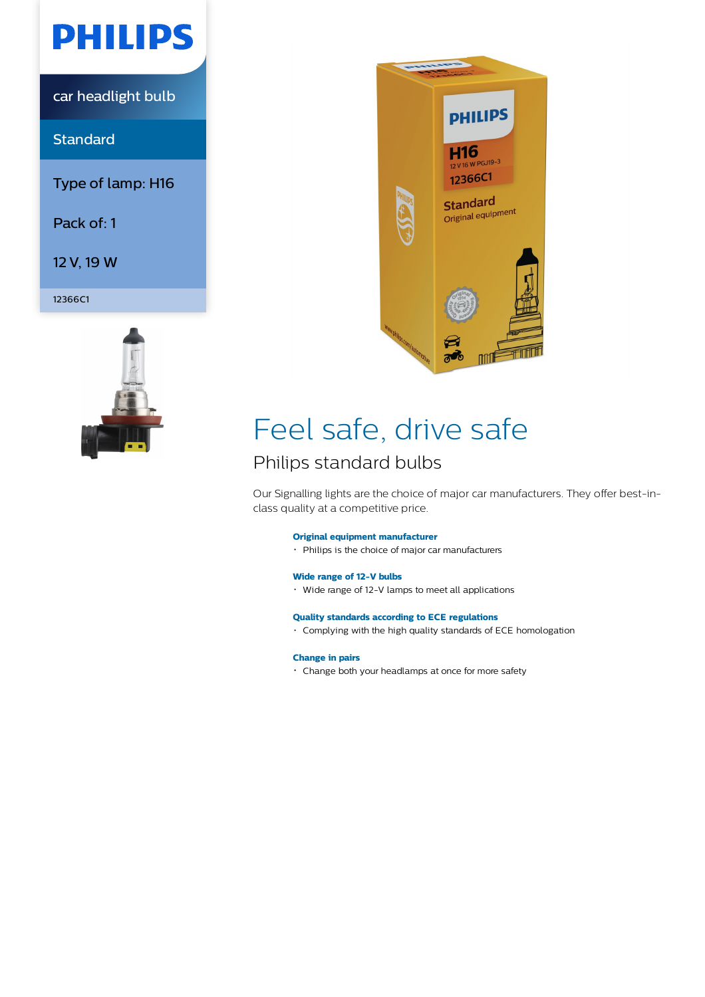

car headlight bulb

**Standard** 

Type of lamp: H16

Pack of: 1

12 V, 19 W

12366C1





## Feel safe, drive safe

## Philips standard bulbs

Our Signalling lights are the choice of major car manufacturers. They offer best-inclass quality at a competitive price.

#### **Original equipment manufacturer**

Philips is the choice of major car manufacturers

#### **Wide range of 12-V bulbs**

Wide range of 12-V lamps to meet all applications

#### **Quality standards according to ECE regulations**

Complying with the high quality standards of ECE homologation

#### **Change in pairs**

Change both your headlamps at once for more safety